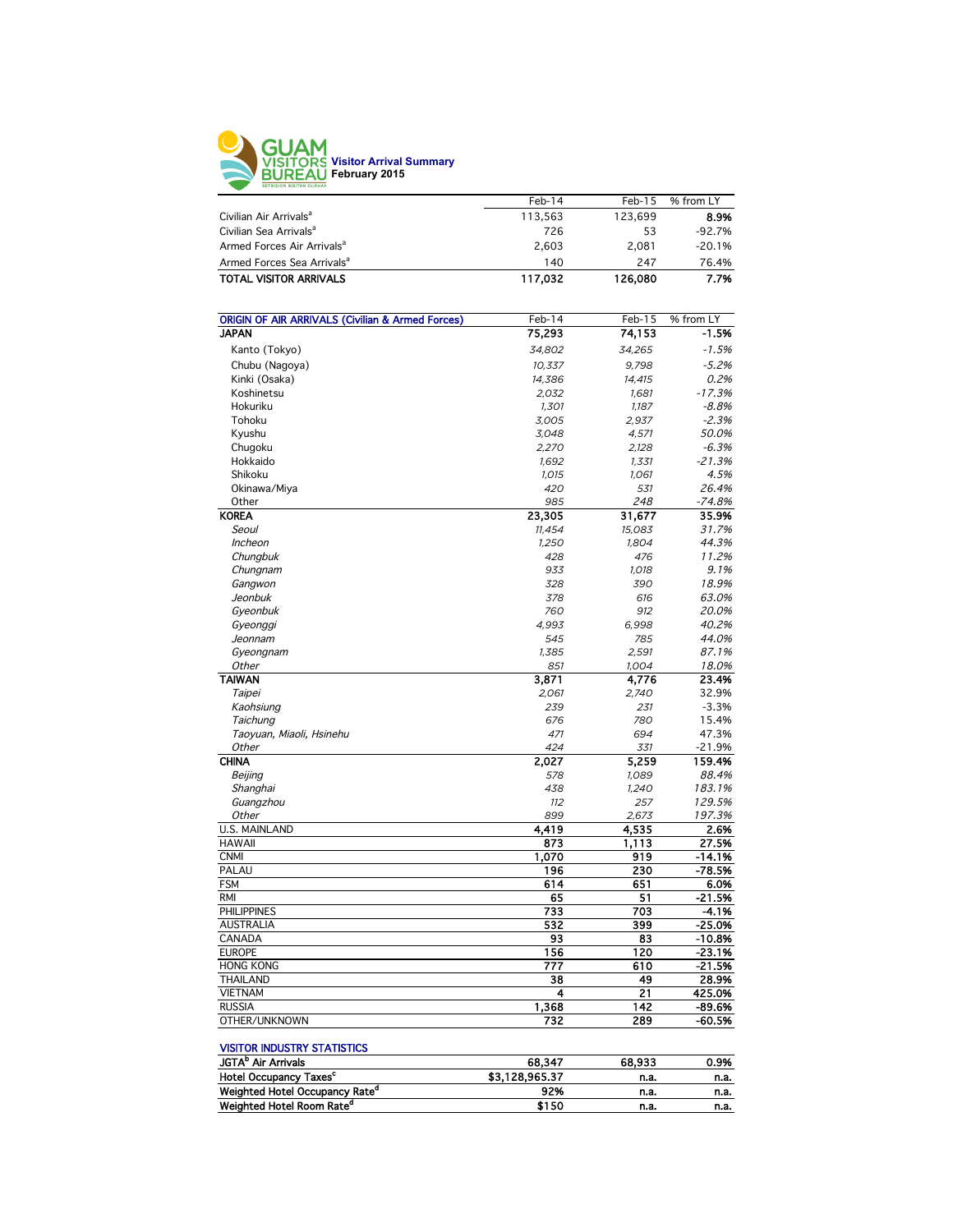

|                                        | $Feb-14$ | $Feb-15$ | % from LY |
|----------------------------------------|----------|----------|-----------|
| Civilian Air Arrivals <sup>a</sup>     | 113.563  | 123.699  | 8.9%      |
| Civilian Sea Arrivals <sup>a</sup>     | 726      | 53       | $-92.7%$  |
| Armed Forces Air Arrivals <sup>a</sup> | 2.603    | 2.081    | $-20.1%$  |
| Armed Forces Sea Arrivals <sup>a</sup> | 140      | 247      | 76.4%     |
| <b>TOTAL VISITOR ARRIVALS</b>          | 117.032  | 126,080  | 7.7%      |
|                                        |          |          |           |

| <b>ORIGIN OF AIR ARRIVALS (Civilian &amp; Armed Forces)</b> | Feb-14 | Feb-15 | % from LY |
|-------------------------------------------------------------|--------|--------|-----------|
| <b>JAPAN</b>                                                | 75,293 | 74,153 | $-1.5%$   |
| Kanto (Tokyo)                                               | 34,802 | 34,265 | $-1.5%$   |
| Chubu (Nagoya)                                              | 10,337 | 9,798  | $-5.2%$   |
| Kinki (Osaka)                                               | 14,386 | 14,415 | 0.2%      |
| Koshinetsu                                                  | 2,032  | 1.681  | $-17.3%$  |
| Hokuriku                                                    | 1,301  | 1,187  | $-8.8%$   |
| Tohoku                                                      | 3,005  | 2,937  | $-2.3%$   |
| Kyushu                                                      | 3,048  | 4,571  | 50.0%     |
| Chugoku                                                     | 2,270  | 2,128  | $-6.3%$   |
| Hokkaido                                                    | 1,692  | 1,331  | $-21.3%$  |
| Shikoku                                                     | 1,015  | 1,061  | 4.5%      |
| Okinawa/Miya                                                | 420    | 531    | 26.4%     |
| Other                                                       | 985    | 248    | $-74.8%$  |
| <b>KOREA</b>                                                | 23,305 | 31,677 | 35.9%     |
| Seoul                                                       | 11,454 | 15,083 | 31.7%     |
| Incheon                                                     | 1,250  | 1,804  | 44.3%     |
| Chungbuk                                                    | 428    | 476    | 11.2%     |
| Chungnam                                                    | 933    | 1,018  | 9.1%      |
| Gangwon                                                     | 328    | 390    | 18.9%     |
| Jeonbuk                                                     | 378    | 616    | 63.0%     |
| Gyeonbuk                                                    | 760    | 912    | 20.0%     |
| Gyeonggi                                                    | 4,993  | 6,998  | 40.2%     |
| Jeonnam                                                     | 545    | 785    | 44.0%     |
| Gyeongnam                                                   | 1,385  | 2,591  | 87.1%     |
| Other                                                       | 851    | 1,004  | 18.0%     |
| <b>TAIWAN</b>                                               | 3,871  | 4,776  | 23.4%     |
| Taipei                                                      | 2,061  | 2.740  | 32.9%     |
| Kaohsiung                                                   | 239    | 231    | $-3.3%$   |
| Taichung                                                    | 676    | 780    | 15.4%     |
| Taoyuan, Miaoli, Hsinehu                                    | 471    | 694    | 47.3%     |
| Other                                                       | 424    | 331    | $-21.9%$  |
| <b>CHINA</b>                                                | 2,027  | 5,259  | 159.4%    |
| Beijing                                                     | 578    | 1,089  | 88.4%     |
| Shanghai                                                    | 438    | 1,240  | 183.1%    |
| Guangzhou                                                   | 112    | 257    | 129.5%    |
| Other                                                       | 899    | 2,673  | 197.3%    |
| <b>U.S. MAINLAND</b>                                        | 4,419  | 4,535  | 2.6%      |
| <b>HAWAII</b>                                               | 873    | 1,113  | 27.5%     |
| <b>CNMI</b>                                                 | 1,070  | 919    | $-14.1%$  |
| PALAU                                                       | 196    | 230    | $-78.5%$  |
| <b>FSM</b>                                                  | 614    | 651    | 6.0%      |
| <b>RMI</b>                                                  |        |        |           |
| <b>PHILIPPINES</b>                                          | 65     | 51     | $-21.5%$  |
|                                                             | 733    | 703    | -4.1%     |
| <b>AUSTRALIA</b>                                            | 532    | 399    | $-25.0%$  |
| CANADA                                                      | 93     | 83     | $-10.8%$  |
| <b>EUROPE</b>                                               | 156    | 120    | $-23.1%$  |
| <b>HONG KONG</b>                                            | 777    | 610    | $-21.5%$  |
| <b>THAILAND</b>                                             | 38     | 49     | 28.9%     |
| <b>VIETNAM</b>                                              | 4      | 21     | 425.0%    |
| <b>RUSSIA</b>                                               | 1,368  | 142    | $-89.6%$  |
| OTHER/UNKNOWN                                               | 732    | 289    | -60.5%    |

#### VISITOR INDUSTRY STATISTICS

| JGTA <sup>b</sup> Air Arrivals             | 68.347         | 68.933 | 0.9% |
|--------------------------------------------|----------------|--------|------|
| Hotel Occupancy Taxes <sup>c</sup>         | \$3.128.965.37 | n.a.   | n.a. |
| Weighted Hotel Occupancy Rate <sup>d</sup> | 92%            | n.a.   | n.a. |
| Weighted Hotel Room Rate <sup>d</sup>      | \$150          | n.a.   | n.a. |
|                                            |                |        |      |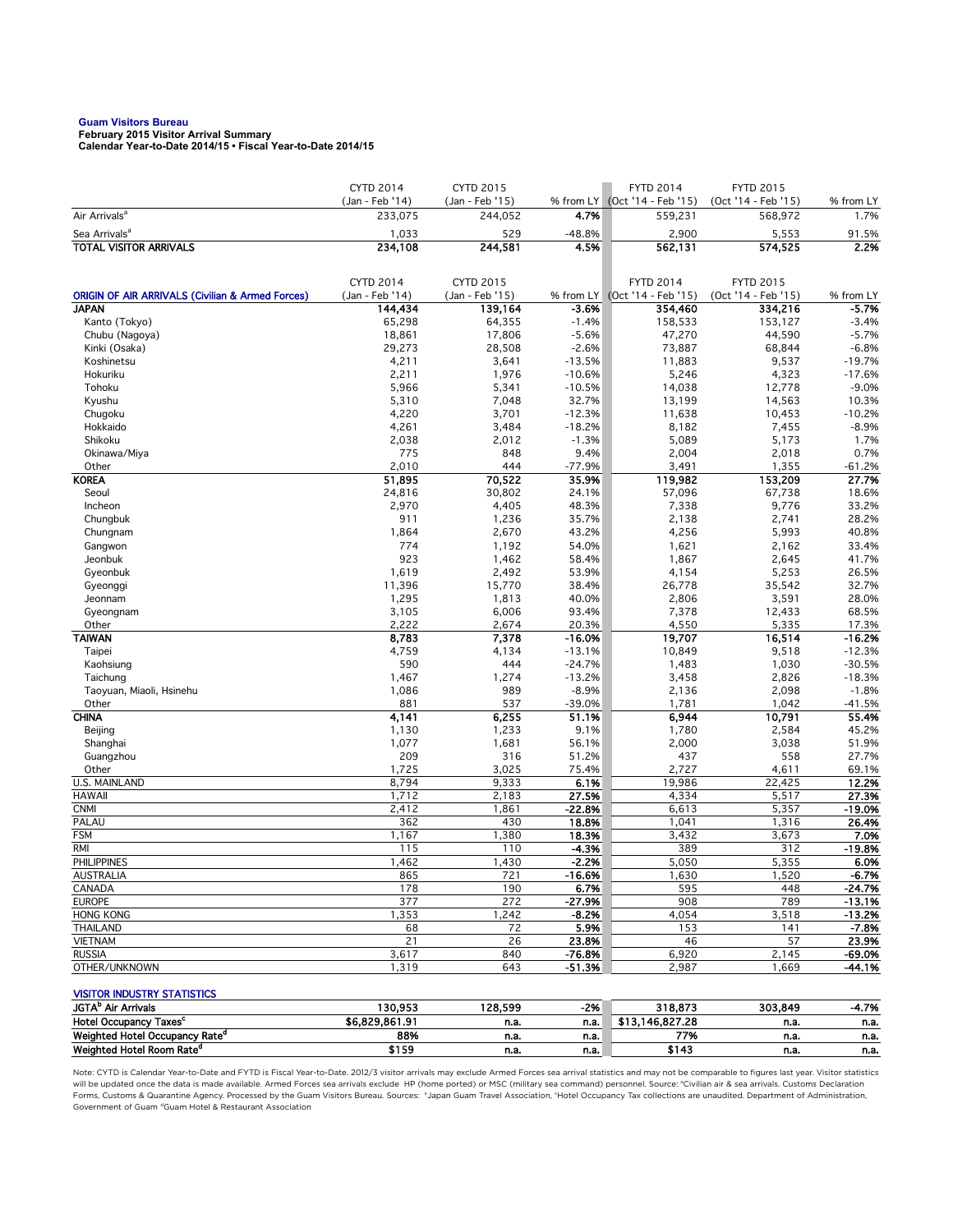**Guam Visitors Bureau February 2015 Visitor Arrival Summary Calendar Year-to-Date 2014/15 • Fiscal Year-to-Date 2014/15** 

|                                                                             | <b>CYTD 2014</b>           | <b>CYTD 2015</b>           |                   | <b>FYTD 2014</b>                         | <b>FYTD 2015</b>               |                    |
|-----------------------------------------------------------------------------|----------------------------|----------------------------|-------------------|------------------------------------------|--------------------------------|--------------------|
| Air Arrivals <sup>a</sup>                                                   | (Jan - Feb '14)<br>233,075 | (Jan - Feb '15)<br>244,052 | 4.7%              | % from LY (Oct '14 - Feb '15)<br>559,231 | (Oct '14 - Feb '15)<br>568,972 | % from LY<br>1.7%  |
| Sea Arrivals <sup>a</sup>                                                   | 1,033                      | 529                        | $-48.8%$          | 2,900                                    |                                | 91.5%              |
| <b>TOTAL VISITOR ARRIVALS</b>                                               | 234,108                    | 244,581                    | 4.5%              | 562,131                                  | 5,553<br>574,525               | 2.2%               |
|                                                                             |                            |                            |                   |                                          |                                |                    |
|                                                                             |                            |                            |                   |                                          |                                |                    |
|                                                                             | <b>CYTD 2014</b>           | <b>CYTD 2015</b>           |                   | <b>FYTD 2014</b>                         | <b>FYTD 2015</b>               |                    |
| <b>ORIGIN OF AIR ARRIVALS (Civilian &amp; Armed Forces)</b><br><b>JAPAN</b> | (Jan - Feb '14)<br>144,434 | (Jan - Feb '15)<br>139,164 | $-3.6%$           | % from LY (Oct '14 - Feb '15)<br>354,460 | (Oct '14 - Feb '15)<br>334,216 | % from LY<br>-5.7% |
| Kanto (Tokyo)                                                               | 65,298                     | 64,355                     | $-1.4%$           | 158,533                                  | 153,127                        | $-3.4%$            |
| Chubu (Nagoya)                                                              | 18,861                     | 17,806                     | $-5.6%$           | 47,270                                   | 44,590                         | $-5.7%$            |
| Kinki (Osaka)                                                               | 29,273                     | 28,508                     | $-2.6%$           | 73,887                                   | 68,844                         | $-6.8%$            |
| Koshinetsu                                                                  | 4,211                      | 3,641                      | $-13.5%$          | 11,883                                   | 9,537                          | $-19.7%$           |
| Hokuriku                                                                    | 2,211                      | 1,976                      | $-10.6%$          | 5,246                                    | 4,323                          | $-17.6%$           |
| Tohoku                                                                      | 5,966                      | 5,341                      | $-10.5%$          | 14,038                                   | 12,778                         | $-9.0%$            |
| Kyushu                                                                      | 5,310                      | 7,048                      | 32.7%             | 13,199                                   | 14,563                         | 10.3%              |
| Chugoku                                                                     | 4,220                      | 3,701                      | $-12.3%$          | 11,638                                   | 10,453                         | $-10.2%$           |
| Hokkaido                                                                    | 4,261                      | 3,484                      | $-18.2%$          | 8,182                                    | 7,455                          | $-8.9%$            |
| Shikoku                                                                     | 2,038                      | 2,012                      | $-1.3%$           | 5,089                                    | 5,173                          | 1.7%               |
| Okinawa/Miya                                                                | 775                        | 848                        | 9.4%              | 2,004                                    | 2,018                          | 0.7%               |
| Other                                                                       | 2,010                      | 444                        | $-77.9%$          | 3,491                                    | 1,355                          | $-61.2%$           |
| <b>KOREA</b>                                                                | 51,895                     | 70,522                     | 35.9%             | 119,982                                  | 153,209                        | 27.7%              |
| Seoul                                                                       | 24,816                     | 30,802                     | 24.1%             | 57,096                                   | 67,738                         | 18.6%              |
| Incheon                                                                     | 2,970                      | 4,405                      | 48.3%             | 7,338                                    | 9,776                          | 33.2%              |
| Chungbuk                                                                    | 911                        | 1,236                      | 35.7%             | 2,138                                    | 2,741                          | 28.2%              |
| Chungnam                                                                    | 1,864<br>774               | 2,670<br>1,192             | 43.2%<br>54.0%    | 4,256                                    | 5,993                          | 40.8%              |
| Gangwon<br>Jeonbuk                                                          | 923                        | 1,462                      | 58.4%             | 1,621<br>1,867                           | 2,162<br>2,645                 | 33.4%<br>41.7%     |
| Gyeonbuk                                                                    | 1,619                      | 2,492                      | 53.9%             | 4,154                                    | 5,253                          | 26.5%              |
| Gyeonggi                                                                    | 11,396                     | 15,770                     | 38.4%             | 26,778                                   | 35,542                         | 32.7%              |
| Jeonnam                                                                     | 1,295                      | 1,813                      | 40.0%             | 2,806                                    | 3,591                          | 28.0%              |
| Gyeongnam                                                                   | 3,105                      | 6,006                      | 93.4%             | 7,378                                    | 12,433                         | 68.5%              |
| Other                                                                       | 2,222                      | 2,674                      | 20.3%             | 4,550                                    | 5,335                          | 17.3%              |
| <b>TAIWAN</b>                                                               | 8,783                      | 7,378                      | $-16.0%$          | 19,707                                   | 16,514                         | $-16.2%$           |
| Taipei                                                                      | 4,759                      | 4,134                      | $-13.1%$          | 10,849                                   | 9,518                          | $-12.3%$           |
| Kaohsiung                                                                   | 590                        | 444                        | $-24.7%$          | 1,483                                    | 1,030                          | $-30.5%$           |
| Taichung                                                                    | 1,467                      | 1,274                      | $-13.2%$          | 3,458                                    | 2,826                          | $-18.3%$           |
| Taoyuan, Miaoli, Hsinehu                                                    | 1,086                      | 989                        | $-8.9%$           | 2,136                                    | 2,098                          | $-1.8%$            |
| Other                                                                       | 881                        | 537                        | $-39.0%$          | 1,781                                    | 1,042                          | $-41.5%$           |
| <b>CHINA</b>                                                                | 4,141                      | 6,255                      | 51.1%             | 6,944                                    | 10,791                         | 55.4%              |
| Beijing                                                                     | 1,130                      | 1,233                      | 9.1%              | 1,780                                    | 2,584                          | 45.2%              |
| Shanghai                                                                    | 1,077                      | 1,681                      | 56.1%             | 2,000                                    | 3,038                          | 51.9%              |
| Guangzhou                                                                   | 209                        | 316                        | 51.2%             | 437                                      | 558                            | 27.7%              |
| Other                                                                       | 1,725                      | 3,025                      | 75.4%             | 2,727                                    | 4,611                          | 69.1%              |
| U.S. MAINLAND                                                               | 8,794                      | 9,333                      | 6.1%              | 19,986                                   | 22,425                         | 12.2%              |
| <b>HAWAII</b><br><b>CNMI</b>                                                | 1,712                      | 2,183                      | 27.5%<br>$-22.8%$ | 4,334                                    | 5,517                          | 27.3%<br>$-19.0%$  |
| PALAU                                                                       | 2,412<br>362               | 1,861<br>430               | 18.8%             | 6,613<br>1,041                           | 5,357<br>1,316                 | 26.4%              |
| <b>FSM</b>                                                                  | 1,167                      | 1,380                      | 18.3%             | 3,432                                    | 3,673                          | 7.0%               |
| <b>RMI</b>                                                                  | 115                        | 110                        | $-4.3%$           | 389                                      | 312                            | $-19.8%$           |
| <b>PHILIPPINES</b>                                                          | 1,462                      | 1,430                      | $-2.2%$           | 5,050                                    | 5,355                          | 6.0%               |
| AUSTRALIA                                                                   | 865                        | 721                        | -16.6%            | 1,630                                    | 1,520                          | -6.7%              |
| CANADA                                                                      | 178                        | 190                        | 6.7%              | 595                                      | 448                            | $-24.7%$           |
| <b>EUROPE</b>                                                               | 377                        | 272                        | $-27.9%$          | 908                                      | 789                            | $-13.1%$           |
| <b>HONG KONG</b>                                                            | 1,353                      | 1,242                      | $-8.2%$           | 4,054                                    | 3,518                          | $-13.2%$           |
| <b>THAILAND</b>                                                             | 68                         | 72                         | 5.9%              | 153                                      | 141                            | -7.8%              |
| <b>VIETNAM</b>                                                              | 21                         | 26                         | 23.8%             | 46                                       | 57                             | 23.9%              |
| <b>RUSSIA</b>                                                               | 3,617                      | 840                        | $-76.8%$          | 6,920                                    | 2,145                          | $-69.0%$           |
| OTHER/UNKNOWN                                                               | 1,319                      | 643                        | $-51.3%$          | 2,987                                    | 1,669                          | $-44.1%$           |
|                                                                             |                            |                            |                   |                                          |                                |                    |
| <b>VISITOR INDUSTRY STATISTICS</b><br>JGTA <sup>b</sup> Air Arrivals        | 130,953                    | 128,599                    | $-296$            | 318,873                                  | 303,849                        | $-4.7%$            |
| Hotel Occupancy Taxes <sup>c</sup>                                          | \$6,829,861.91             | n.a.                       | n.a.              | \$13,146,827.28                          | n.a.                           | n.a.               |
| Weighted Hotel Occupancy Rate <sup>d</sup>                                  | 88%                        | n.a.                       | n.a.              | 77%                                      | n.a.                           | n.a.               |
| Weighted Hotel Room Rate <sup>d</sup>                                       | \$159                      | n.a.                       | n.a.              | \$143                                    | n.a.                           | n.a.               |

Note: CYTD is Calendar Year-to-Date and FYTD is Fiscal Year-to-Date. 2012/3 visitor arrivals may exclude Armed Forces sea arrival statistics and may not be comparable to figures last year. Visitor statistics will be updated once the data is made available. Armed Forces sea arrivals exclude HP (home ported) or MSC (military sea command) personnel. Source: °Civilian air & sea arrivals. Customs Declaration<br>Forms, Customs & Quaran Government of Guam dGuam Hotel & Restaurant Association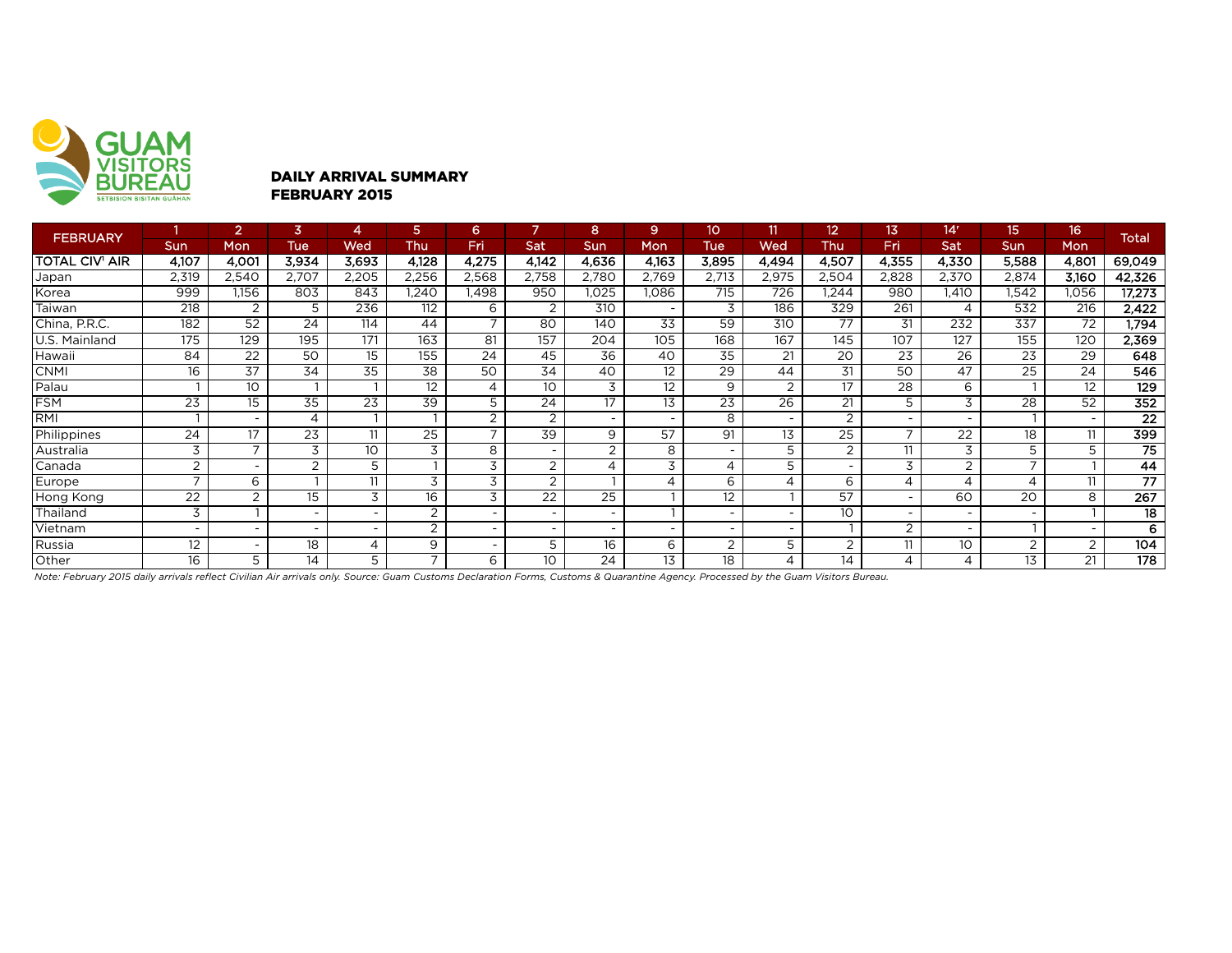

### DAILY ARRIVAL SUMMARY FEBRUARY 2015

| <b>FEBRUARY</b>       |                          | $\overline{2}$           | $\overline{3}$  | 4               | 5                        | 6.                       |                          | 8                        | 9.                       | 10              | 11                       | $12 \,$                  | 13.                      | 14 <sup>r</sup>          | 15              | 16                       | <b>Total</b>    |
|-----------------------|--------------------------|--------------------------|-----------------|-----------------|--------------------------|--------------------------|--------------------------|--------------------------|--------------------------|-----------------|--------------------------|--------------------------|--------------------------|--------------------------|-----------------|--------------------------|-----------------|
|                       | Sun                      | Mon                      | <b>Tue</b>      | Wed             | Thu                      | <b>Fri</b>               | Sat                      | Sun                      | Mon                      | Tue             | Wed                      | Thu                      | Fri                      | Sat                      | Sun             | <b>Mon</b>               |                 |
| <b>TOTAL CIV' AIR</b> | 4,107                    | 4,001                    | 3,934           | 3,693           | 4,128                    | 4,275                    | 4,142                    | 4,636                    | 4,163                    | 3,895           | 4,494                    | 4,507                    | 4,355                    | 4,330                    | 5,588           | 4,801                    | 69,049          |
| Japan                 | 2,319                    | 2,540                    | 2,707           | 2,205           | 2,256                    | 2,568                    | 2,758                    | 2,780                    | 2,769                    | 2,713           | 2,975                    | 2,504                    | 2,828                    | 2,370                    | 2,874           | 3,160                    | 42,326          |
| Korea                 | 999                      | 1,156                    | 803             | 843             | 1,240                    | .498                     | 950                      | 1,025                    | 1,086                    | 715             | 726                      | .244                     | 980                      | 1,410                    | 1,542           | 1,056                    | 17,273          |
| Taiwan                | 218                      | 2                        | 5               | 236             | 112                      | 6                        | 2                        | 310                      | $\overline{\phantom{0}}$ | 3               | 186                      | 329                      | 261                      | 4                        | 532             | 216                      | 2,422           |
| China, P.R.C.         | 182                      | 52                       | 24              | 114             | 44                       | $\overline{ }$           | 80                       | 140                      | 33                       | 59              | 310                      | 77                       | 31                       | 232                      | 337             | $\overline{72}$          | 1,794           |
| U.S. Mainland         | 175                      | 129                      | 195             | 171             | 163                      | 81                       | 157                      | 204                      | 105                      | 168             | 167                      | 145                      | 107                      | 127                      | 155             | 120                      | 2,369           |
| Hawaii)               | 84                       | $\overline{22}$          | 50              | 15              | 155                      | 24                       | 45                       | 36                       | 40                       | $\overline{35}$ | 21                       | 20                       | 23                       | $\overline{26}$          | $\overline{23}$ | 29                       | 648             |
| <b>CNMI</b>           | 16                       | 37                       | 34              | 35              | 38                       | 50                       | 34                       | 40                       | 12                       | 29              | 44                       | 31                       | 50                       | 47                       | 25              | 24                       | 546             |
| Palau                 |                          | 10                       |                 |                 | 12                       | $\overline{4}$           | 10 <sup>°</sup>          | 3                        | 12                       | 9               | 2                        | 17                       | 28                       | 6                        |                 | 12                       | 129             |
| <b>FSM</b>            | 23                       | 15                       | $\overline{35}$ | $\overline{23}$ | 39                       | 5                        | 24                       | 17                       | 13                       | 23              | $\overline{26}$          | 21                       | 5                        | 3                        | $\overline{28}$ | $\overline{52}$          | 352             |
| <b>RMI</b>            |                          |                          | 4               |                 |                          | $\overline{2}$           | 2                        | $\overline{\phantom{a}}$ | $\overline{\phantom{0}}$ | 8               |                          | 2                        |                          |                          |                 | $\overline{\phantom{0}}$ | $\overline{22}$ |
| Philippines           | 24                       | 17                       | $\overline{23}$ | 11              | $\overline{25}$          | $\overline{ }$           | 39                       | 9                        | 57                       | 91              | 13                       | 25                       | $\overline{\phantom{0}}$ | 22                       | 18              | 11                       | 399             |
| Australia             | 3                        | ⇁                        | 3               | 10              | 3                        | 8                        | $\sim$                   | 2                        | 8                        |                 | 5                        | $\overline{2}$           | 11                       | 3                        | 5               | 5                        | 75              |
| Canada                | 2                        | $\overline{\phantom{0}}$ | $\overline{2}$  | 5               |                          | 3                        | 2                        | 4                        | 3                        | 4               | 5                        | $\overline{\phantom{0}}$ | 3                        | 2                        | $\overline{ }$  |                          | 44              |
| Europe                | $\overline{\phantom{0}}$ | 6                        |                 | 11              | $\overline{3}$           | 3                        | 2                        |                          | 4                        | 6               | $\overline{A}$           | 6                        | 4                        | $\overline{4}$           |                 | 11                       | $\overline{77}$ |
| Hong Kong             | 22                       | 2                        | 15              | 3               | 16                       | 3                        | 22                       | 25                       |                          | 12              |                          | 57                       | $\sim$                   | 60                       | 20              | 8                        | 267             |
| Thailand              | 3                        |                          |                 |                 | $\overline{2}$           | $\overline{\phantom{a}}$ | $\overline{\phantom{a}}$ | $\overline{\phantom{a}}$ |                          |                 |                          | 10                       |                          |                          |                 |                          | 18              |
| Vietnam               |                          |                          |                 |                 | 2                        | $\overline{\phantom{a}}$ | $\sim$                   | $\overline{\phantom{a}}$ |                          |                 | $\overline{\phantom{0}}$ |                          | 2                        |                          |                 | $\overline{\phantom{0}}$ | 6               |
| Russia                | $12 \,$                  | $\overline{\phantom{0}}$ | 18              | 4               | 9                        | $\overline{\phantom{a}}$ | 5                        | 16                       | 6                        | 2               | 5                        | 2                        | 11                       | 10                       | 2               | $\overline{2}$           | 104             |
| Other                 | 16                       | 5                        | 14              | 5               | $\overline{\phantom{a}}$ | 6                        | 10 <sup>°</sup>          | 24                       | 13                       | 18              | 4                        | 14                       | 4                        | $\overline{\mathcal{A}}$ | 13              | 21                       | 178             |

*Note: February 2015 daily arrivals reflect Civilian Air arrivals only. Source: Guam Customs Declaration Forms, Customs & Quarantine Agency. Processed by the Guam Visitors Bureau.*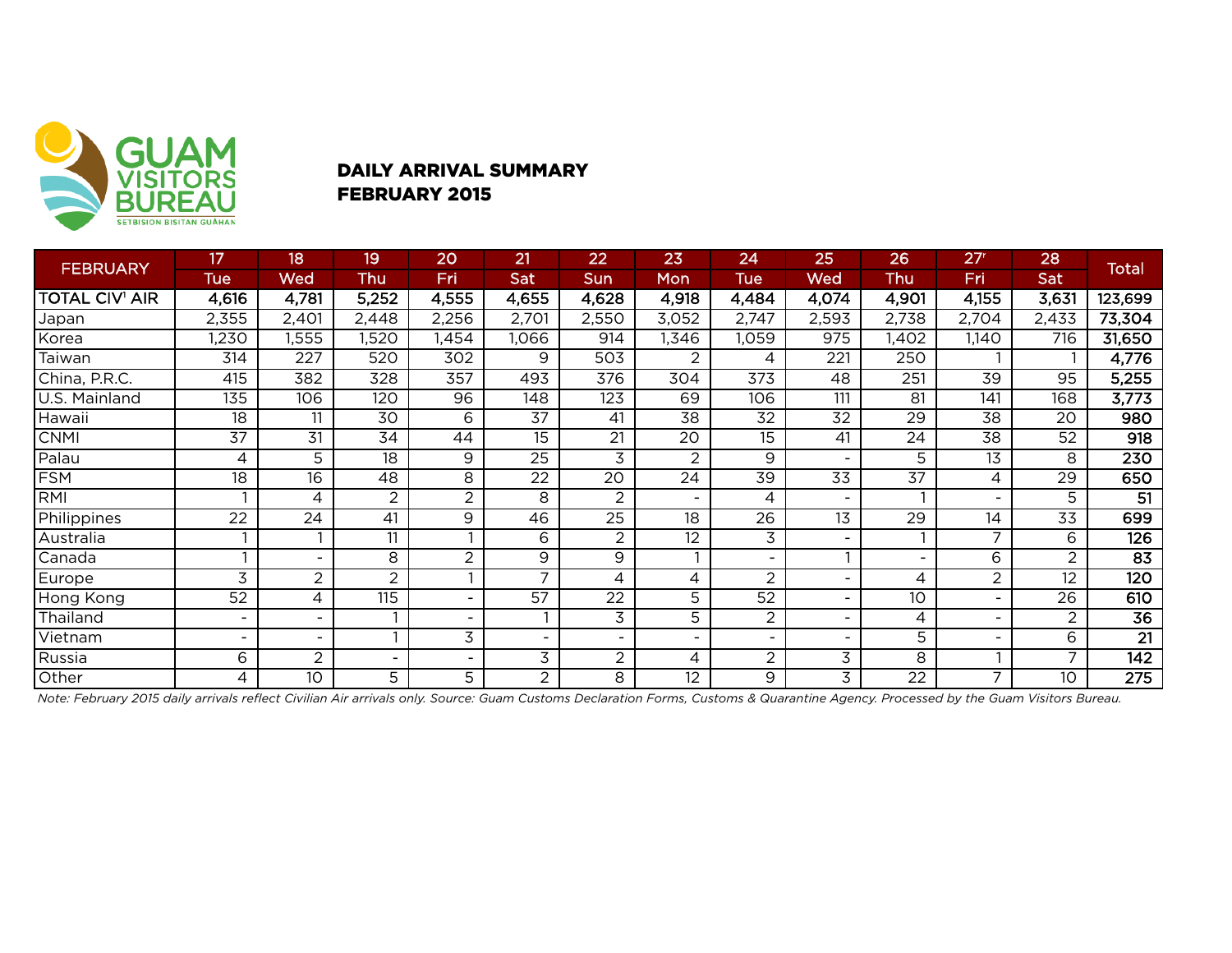

# DAILY ARRIVAL SUMMARY FEBRUARY 2015

|                       | 17              | 18                       | 19              | 20               | 21                       | 22                           | 23              | 24                       | 25               | 26                       | 27 <sup>r</sup> | 28              |                  |
|-----------------------|-----------------|--------------------------|-----------------|------------------|--------------------------|------------------------------|-----------------|--------------------------|------------------|--------------------------|-----------------|-----------------|------------------|
| <b>FEBRUARY</b>       | <b>Tue</b>      | Wed                      | Thu             | Fri              | Sat                      | Sun                          | Mon             | <b>Tue</b>               | Wed              | Thu                      | Fri             | <b>Sat</b>      | <b>Total</b>     |
| <b>TOTAL CIV' AIR</b> | 4,616           | 4,781                    | 5,252           | 4,555            | 4,655                    | 4,628                        | 4,918           | 4,484                    | 4,074            | 4,901                    | 4,155           | 3,631           | 123,699          |
| Japan                 | 2,355           | 2,401                    | 2,448           | 2,256            | 2,701                    | 2,550                        | 3,052           | 2,747                    | 2,593            | 2,738                    | 2,704           | 2,433           | 73,304           |
| Korea                 | ,230            | 1,555                    | ,520            | ,454             | 1,066                    | 914                          | ,346            | 1,059                    | 975              | I,402                    | 1,140           | 716             | 31,650           |
| Taiwan                | 314             | $\overline{227}$         | 520             | $\overline{302}$ | 9                        | $\overline{503}$             | 2               | 4                        | $\overline{221}$ | 250                      |                 |                 | 4,776            |
| China, P.R.C.         | 415             | 382                      | 328             | 357              | 493                      | 376                          | 304             | 373                      | 48               | 251                      | 39              | 95              | 5,255            |
| U.S. Mainland         | 135             | 106                      | 120             | 96               | 148                      | 123                          | 69              | 106                      | 111              | 81                       | 141             | 168             | 3,773            |
| Hawaii                | 18              | 11                       | 30              | 6                | $\overline{37}$          | 41                           | 38              | 32                       | $\overline{32}$  | 29                       | 38              | 20              | 980              |
| <b>CNMI</b>           | $\overline{37}$ | $\overline{31}$          | $\overline{34}$ | 44               | 15                       | 21                           | $\overline{20}$ | 15                       | 41               | 24                       | $\overline{38}$ | 52              | $\overline{918}$ |
| Palau                 | 4               | 5                        | $\overline{18}$ | 9                | $\overline{25}$          | 3                            | 2               | 9                        |                  | 5                        | $\overline{13}$ | 8               | 230              |
| <b>FSM</b>            | 18              | 16                       | 48              | 8                | 22                       | 20                           | 24              | 39                       | 33               | 37                       | 4               | 29              | 650              |
| RMI                   |                 | 4                        | 2               | $\overline{2}$   | 8                        | $\overline{2}$               |                 | 4                        |                  |                          |                 | 5               | $\overline{51}$  |
| Philippines           | $\overline{22}$ | $\overline{24}$          | $\overline{41}$ | 9                | 46                       | $\overline{25}$              | $\overline{18}$ | $\overline{26}$          | $\overline{13}$  | $\overline{29}$          | 14              | $\overline{33}$ | 699              |
| Australia             |                 |                          | 11              |                  | 6                        | 2                            | 12              | 3                        |                  |                          | 7               | 6               | 126              |
| Canada                |                 |                          | 8               | $\overline{2}$   | 9                        | 9                            |                 | $\overline{\phantom{a}}$ |                  | $\overline{\phantom{a}}$ | 6               | $\overline{2}$  | $\overline{83}$  |
| Europe                | 3               | $\overline{2}$           | $\overline{2}$  |                  | $\overline{ }$           | 4                            | 4               | $\overline{2}$           |                  | 4                        | 2               | 12              | $\overline{120}$ |
| Hong Kong             | 52              | 4                        | 115             |                  | $\overline{57}$          | $\overline{22}$              | 5               | 52                       |                  | 10                       |                 | 26              | 610              |
| Thailand              |                 |                          |                 |                  |                          | 3                            | 5               | 2                        |                  | 4                        |                 | $\overline{2}$  | $\overline{36}$  |
| Vietnam               |                 | $\overline{\phantom{0}}$ |                 | 3                | $\overline{\phantom{0}}$ | $\qquad \qquad \blacksquare$ | -               | $\overline{\phantom{a}}$ | $\qquad \qquad$  | 5                        | ۰               | 6               | $\overline{21}$  |
| Russia                | 6               | $\overline{2}$           |                 |                  | 3                        | $\overline{c}$               | 4               | $\overline{c}$           | 3                | 8                        |                 | 7               | $\overline{142}$ |
| Other                 | 4               | 10                       | 5               | 5                | $\overline{a}$           | 8                            | 12              | 9                        | 3                | 22                       | 7               | 10              | 275              |

*Note: February 2015 daily arrivals reflect Civilian Air arrivals only. Source: Guam Customs Declaration Forms, Customs & Quarantine Agency. Processed by the Guam Visitors Bureau.*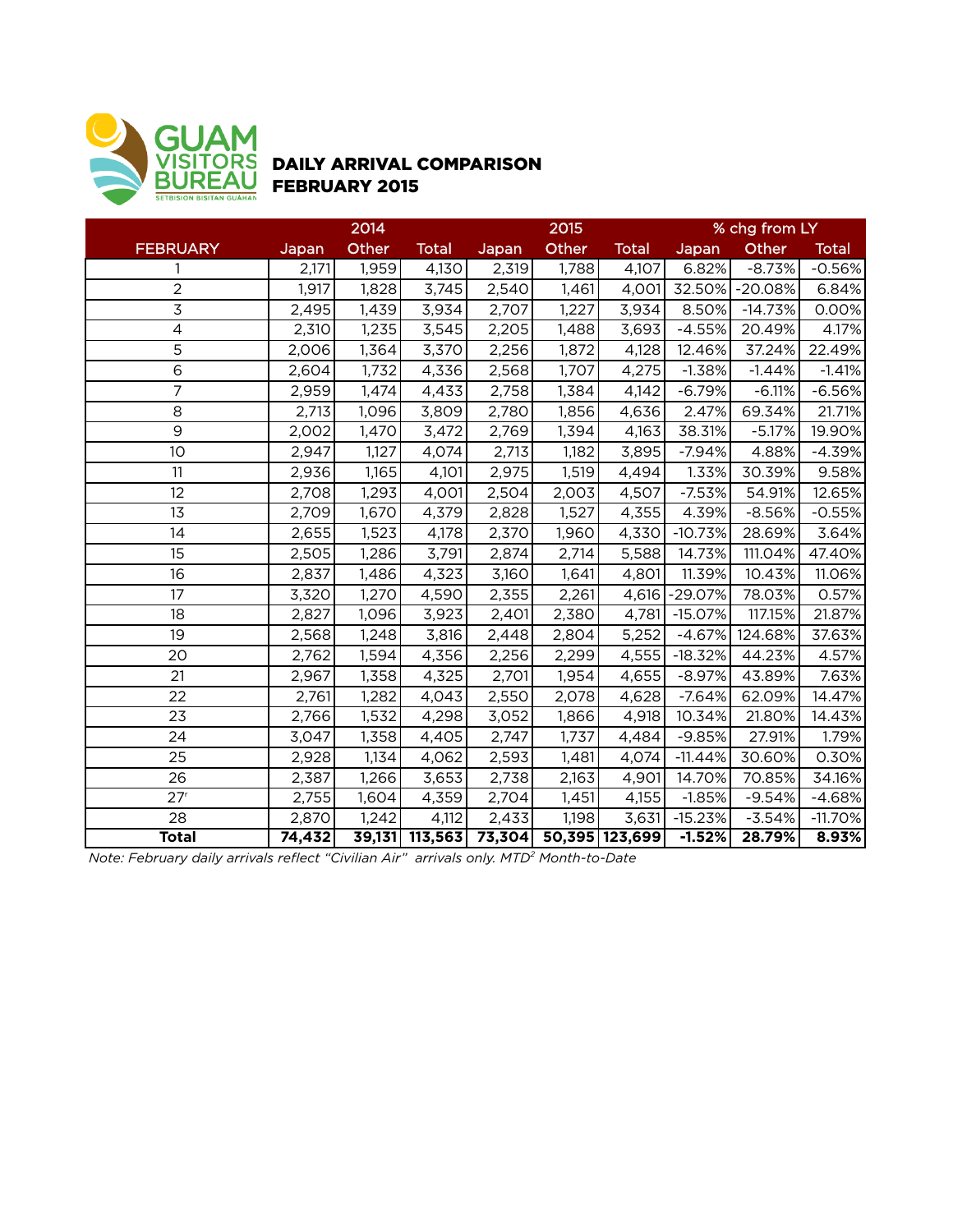

# DAILY ARRIVAL COMPARISON FEBRUARY 2015

|                 |        | 2014  |                |       | 2015  |                       | % chg from LY  |           |              |  |
|-----------------|--------|-------|----------------|-------|-------|-----------------------|----------------|-----------|--------------|--|
| <b>FEBRUARY</b> | Japan  | Other | <b>Total</b>   | Japan | Other | <b>Total</b>          | Japan          | Other     | <b>Total</b> |  |
| 1               | 2,171  | 1,959 | 4,130          | 2,319 | 1,788 | 4,107                 | 6.82%          | $-8.73%$  | $-0.56%$     |  |
| $\overline{2}$  | 1,917  | 1,828 | 3,745          | 2,540 | 1,461 | 4,001                 | 32.50%         | $-20.08%$ | 6.84%        |  |
| $\mathsf 3$     | 2,495  | 1,439 | 3,934          | 2,707 | 1,227 | 3,934                 | 8.50%          | $-14.73%$ | 0.00%        |  |
| 4               | 2,310  | 1,235 | 3,545          | 2,205 | 1,488 | 3,693                 | $-4.55%$       | 20.49%    | 4.17%        |  |
| $\overline{5}$  | 2,006  | 1,364 | 3,370          | 2,256 | 1,872 | 4,128                 | 12.46%         | 37.24%    | 22.49%       |  |
| $\overline{6}$  | 2,604  | 1,732 | 4,336          | 2,568 | 1,707 | 4,275                 | $-1.38%$       | $-1.44%$  | $-1.41%$     |  |
| $\overline{7}$  | 2,959  | 1,474 | 4,433          | 2,758 | 1,384 | 4,142                 | $-6.79%$       | $-6.11%$  | $-6.56%$     |  |
| 8               | 2,713  | 1,096 | 3,809          | 2,780 | 1,856 | 4,636                 | 2.47%          | 69.34%    | 21.71%       |  |
| 9               | 2,002  | 1,470 | 3,472          | 2,769 | 1,394 | 4,163                 | 38.31%         | $-5.17%$  | 19.90%       |  |
| 10              | 2,947  | 1,127 | 4,074          | 2,713 | 1,182 | 3,895                 | $-7.94%$       | 4.88%     | $-4.39%$     |  |
| 11              | 2,936  | 1,165 | 4,101          | 2,975 | 1,519 | 4,494                 | 1.33%          | 30.39%    | 9.58%        |  |
| 12              | 2,708  | 1,293 | 4,001          | 2,504 | 2,003 | 4,507                 | $-7.53%$       | 54.91%    | 12.65%       |  |
| 13              | 2,709  | 1,670 | 4,379          | 2,828 | 1,527 | 4,355                 | 4.39%          | $-8.56%$  | $-0.55%$     |  |
| 14              | 2,655  | 1,523 | 4,178          | 2,370 | 1,960 | 4,330                 | $-10.73%$      | 28.69%    | 3.64%        |  |
| $\overline{15}$ | 2,505  | 1,286 | 3,791          | 2,874 | 2,714 | 5,588                 | 14.73%         | 111.04%   | 47.40%       |  |
| 16              | 2,837  | 1,486 | 4,323          | 3,160 | 1,641 | 4,801                 | 11.39%         | 10.43%    | 11.06%       |  |
| 17              | 3,320  | 1,270 | 4,590          | 2,355 | 2,261 |                       | 4,616 - 29.07% | 78.03%    | 0.57%        |  |
| 18              | 2,827  | 1,096 | 3,923          | 2,401 | 2,380 | 4,781                 | $-15.07%$      | 117.15%   | 21.87%       |  |
| 19              | 2,568  | 1,248 | 3,816          | 2,448 | 2,804 | 5,252                 | $-4.67%$       | 124.68%   | 37.63%       |  |
| 20              | 2,762  | 1,594 | 4,356          | 2,256 | 2,299 | 4,555                 | $-18.32%$      | 44.23%    | 4.57%        |  |
| 21              | 2,967  | 1,358 | 4,325          | 2,701 | 1,954 | 4,655                 | $-8.97%$       | 43.89%    | 7.63%        |  |
| 22              | 2,761  | 1,282 | 4,043          | 2,550 | 2,078 | 4,628                 | $-7.64%$       | 62.09%    | 14.47%       |  |
| 23              | 2,766  | 1,532 | 4,298          | 3,052 | 1,866 | 4,918                 | 10.34%         | 21.80%    | 14.43%       |  |
| 24              | 3,047  | 1,358 | 4,405          | 2,747 | 1,737 | 4,484                 | $-9.85%$       | 27.91%    | 1.79%        |  |
| $\overline{25}$ | 2,928  | 1,134 | 4,062          | 2,593 | 1,481 | 4,074                 | $-11.44%$      | 30.60%    | 0.30%        |  |
| 26              | 2,387  | 1,266 | 3,653          | 2,738 | 2,163 | 4,901                 | 14.70%         | 70.85%    | 34.16%       |  |
| 27 <sup>r</sup> | 2,755  | 1,604 | 4,359          | 2,704 | 1,451 | 4,155                 | $-1.85%$       | $-9.54%$  | $-4.68%$     |  |
| 28              | 2,870  | 1,242 | 4,112          | 2,433 | 1,198 | 3,631                 | $-15.23%$      | $-3.54%$  | $-11.70%$    |  |
| <b>Total</b>    | 74,432 |       | 39,131 113,563 |       |       | 73,304 50,395 123,699 | $-1.52%$       | 28.79%    | 8.93%        |  |

*Note: February daily arrivals reflect "Civilian Air" arrivals only. MTD2 Month-to-Date*